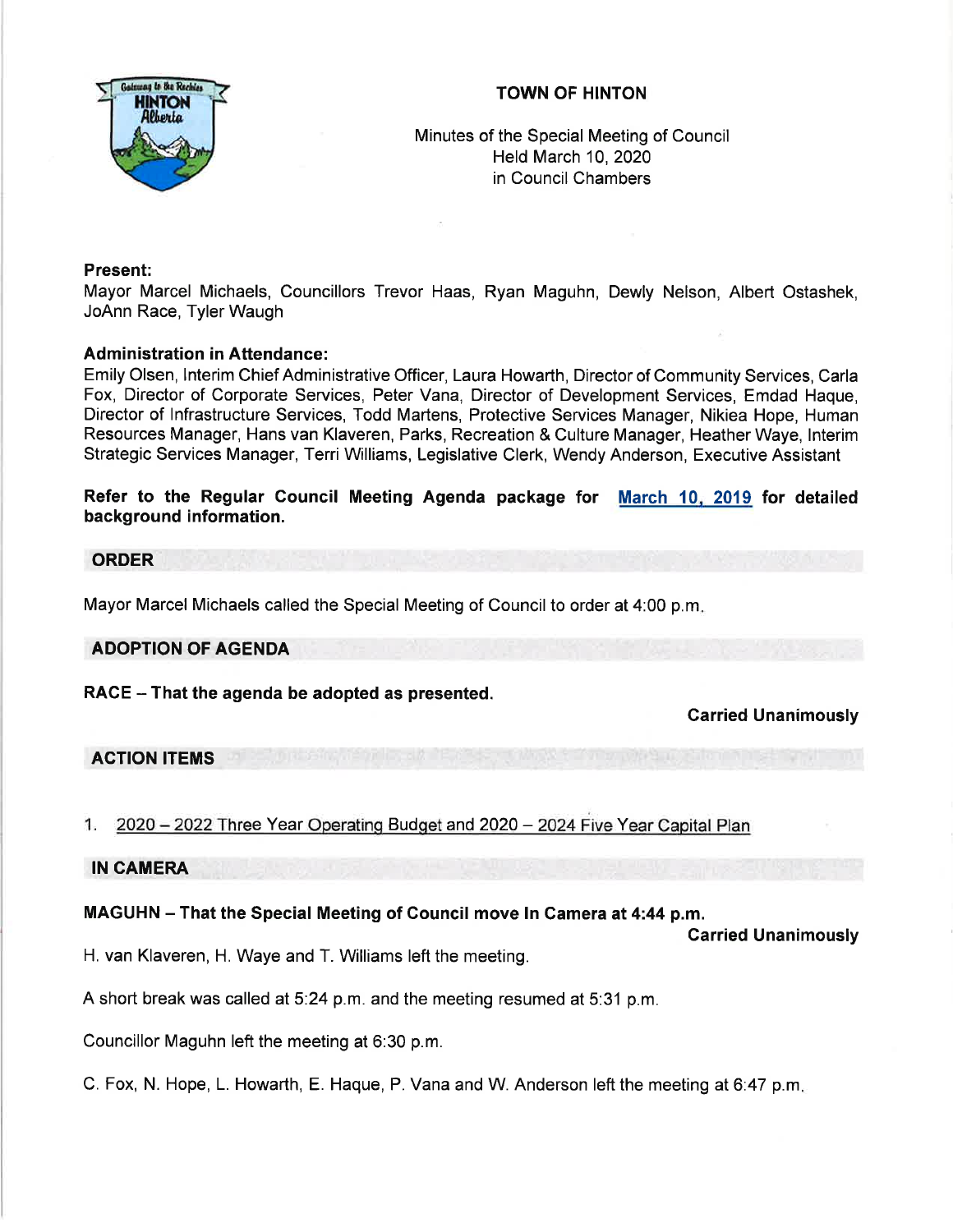

# TOWN OF HINTON

Minutes of the Special Meeting of Council Held March 10,2020 in Council Chambers

# Present:

Mayor Marcel Michaels, Councillors Trevor Haas, Ryan Maguhn, Dewly Nelson, Albert Ostashek, JoAnn Race, Tyler Waugh

### Administration in Attendance:

Emily Olsen, lnterim Chief Administrative Officer, Laura Howarth, Director of Community Services, Carla Fox, Director of Corporate Services, Peter Vana, Director of Development Services, Emdad Haque, Director of lnfrastructure Services, Todd Martens, Protective Services Manager, Nikiea Hope, Human Resources Manager, Hans van Klaveren, Parks, Recreation & Culture Manager, Heather Waye, lnterim Strategic Services Manager, Terri Williams, Legislative Clerk, Wendy Anderson, Executive Assistant

Refer to the Regular Council Meeting Agenda package for <u>March 10, 2019</u> for detailed background information.

### **ORDER**

Mayor Marcel Michaels called the Special Meeting of Council to order at 4:00 p.m

#### ADOPTION OF AGENDA

RACE - That the agenda be adopted as presented.

Garried Unanimously

# ACTION ITEMS

e Year Operating Budget and 2020 – 2024 Five Y

### IN CAMERA

# MAGUHN - That the Special Meeting of Gouncil move In Camera at 4:44 p.m.

Carried Unanimously

H. van Klaveren, H. Waye and T. Williams left the meeting.

A short break was called at 5:24 p.m. and the meeting resumed at 5:31 p.m.

Councillor Maguhn left the meeting at 6:30 p.m.

C. Fox, N. Hope, L. Howarth, E. Haque, P. Vana and W. Anderson left the meeting at 6:47 p.m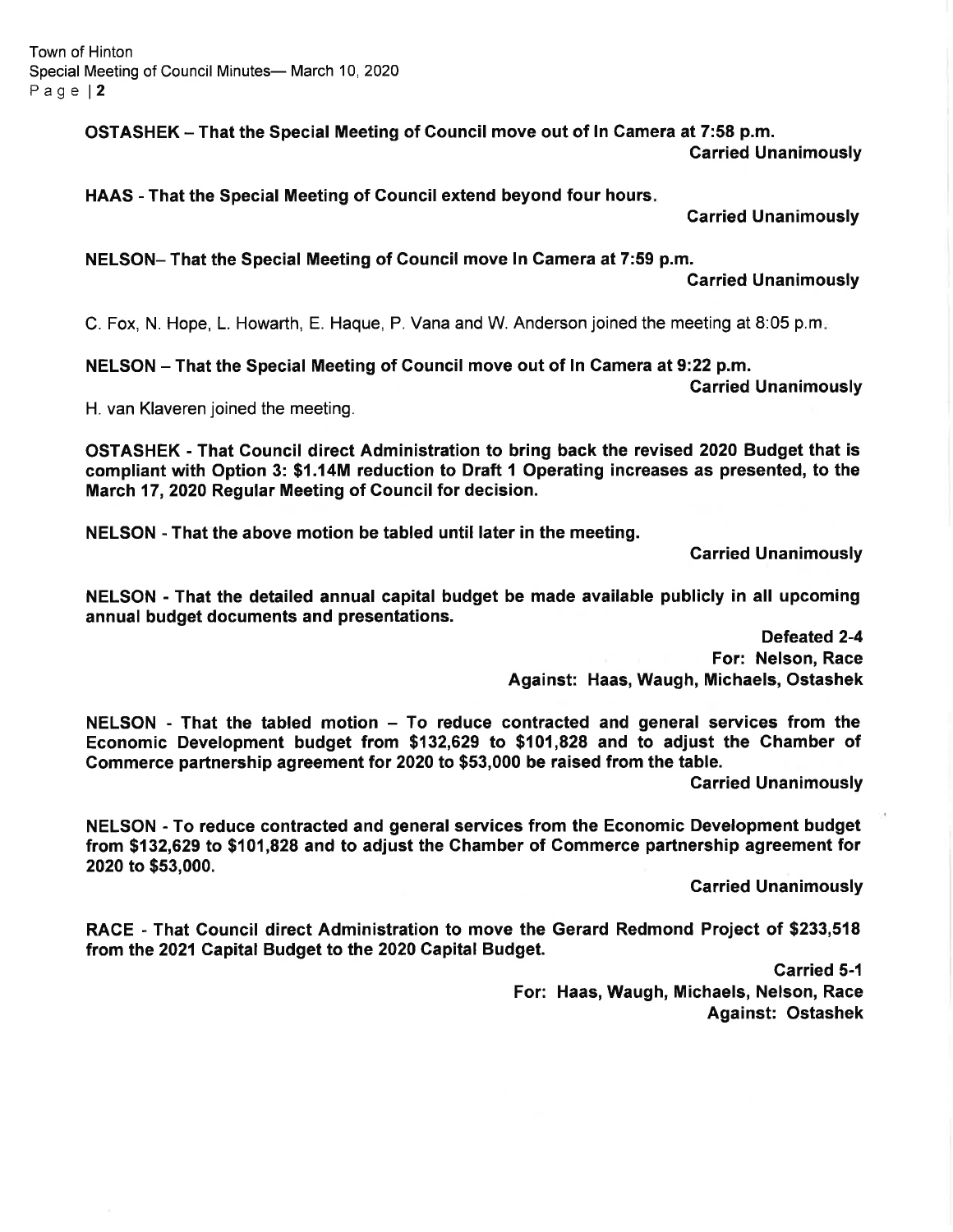OSTASHEK - That the Special Meeting of Gouncil move out of ln Gamera at 7:58 p.m. Garried Unanimously

HAAS - That the Special Meeting of Council extend beyond four hours

Carried Unanimously

NELSON- That the Special Meeting of Gouncil move In Camera at 7:59 p.m.

Garried Unanimously

Garried Unanimously

C. Fox, N. Hope, L. Howarth, E. Haque, P. Vana and W. Anderson joined the meeting at 8:05 p.m

NELSON - That the Special Meeting of Council move out of ln Camera at 9:22 p.m.

H. van Klaveren joined the meeting.

OSTASHEK - That Gouncil direct Administration to bring back the revised 2020 Budget that is compliant with Option 3: \$1.14M reduction to Draft 1 Operating increases as presented, to the March 17,2020 Regular Meeting of Council for decision.

NELSON - That the above motion be tabled until later in the meeting.

Garried Unanimously

NELSON - That the detailed annual capital budget be made available publicly in all upcoming annual budget documents and presentations.

Defeated 2-4

For: Nelson, Race Against: Haas, Waugh, Michaels, Ostashek

 $NELSON$  - That the tabled motion  $-$  To reduce contracted and general services from the Economic Development budget from \$132,629 to \$101,828 and to adjust the Ghamber of Commerce partnership agreement for 2020 to \$53,000 be raised from the table.

Carried Unanimously

NELSON - To reduce contracted and general services from the Economic Development budget from \$132,629 to \$101,828 and to adjust the Ghamber of Gommerce partnership agreement for 2020 to \$53,000.

carried Unanimously

RACE - That Gouncil direct Administration to move the Gerard Redmond Project of \$233,518 from the 2021 Capital Budget to the 2020 Gapital Budget.

> Carried 5-1 For: Haas, Waugh, Michaels, Nelson, Race Against: Ostashek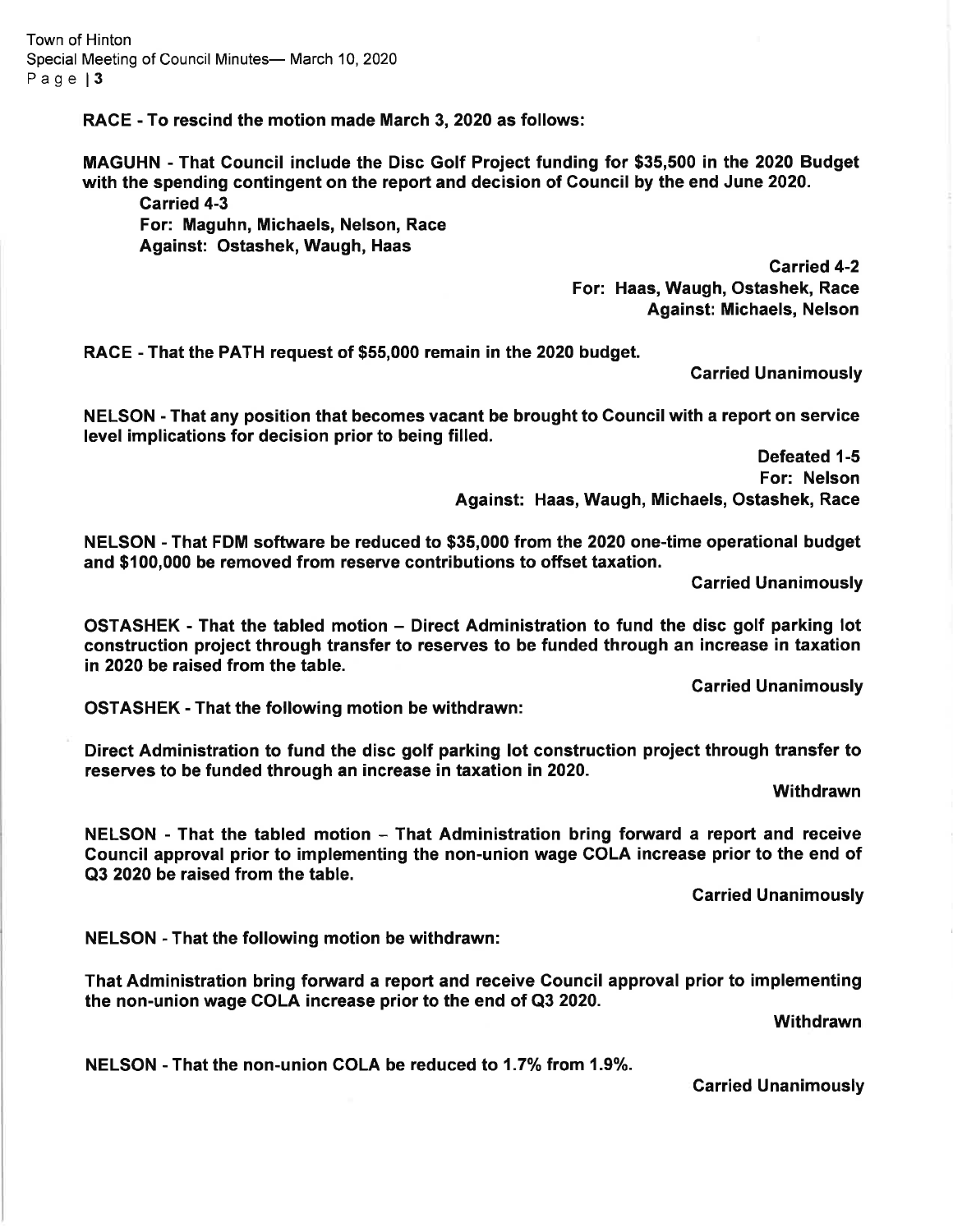RACE - To rescind the motion made March 3, 2020 as follows:

MAGUHN - That Council include the Disc Golf Project funding for \$35,500 in the 2020 Budget with the spending contingent on the report and decision of Council by the end June 2020.

Garried 4-3

For: Maguhn, Michaels, Nelson, Race Against: Ostashek, Waugh, Haas

Carried 4-2 For: Haas, Waugh, Ostashek, Race Against: Michaels, Nelson

RACE - That the PATH request of \$55,000 remain in the 2020 budget.

Garried Unanimously

NELSON - That any position that becomes vacant be brought to Council with a report on service level implications for decision prior to being filled.

> Defeated 1-5 For: Nelson Against: Haas, Waugh, Michaels, Ostashek, Race

NELSON - That FDM software be reduced to \$35,000 from the 2020 one-time operational budget and \$100,000 be removed from reserve contributions to offset taxation.

Carried Unanimously

OSTASHEK ' That the tabled motion - Direct Administration to fund the disc golf parking lot construction project through transfer to reserves to be funded through an increase in taxation in 2020 be raised from the table.

Garried Unanimously

OSTASHEK - That the following motion be withdrawn:

Direct Administration to fund the disc golf parking lot construction project through transfer to reserves to be funded through an increase in taxation in 2020.

**Withdrawn** 

NELSON - That the tabled motion - That Administration bring forward a report and receive Gouncil approval prior to implementing the non-union wage COLA increase prior to the end of Q3 2020 be raised from the table.

Garried Unanimously

NELSON - That the following motion be withdrawn:

That Administration bring forward a report and receive Gouncil approval prior to implementing the non-union wage COLA increase prior to the end of Q3 2020.

**Withdrawn** 

NELSON - That the non-union COLA be reduced to 1.7% from 1.9%.

Carried Unanimously